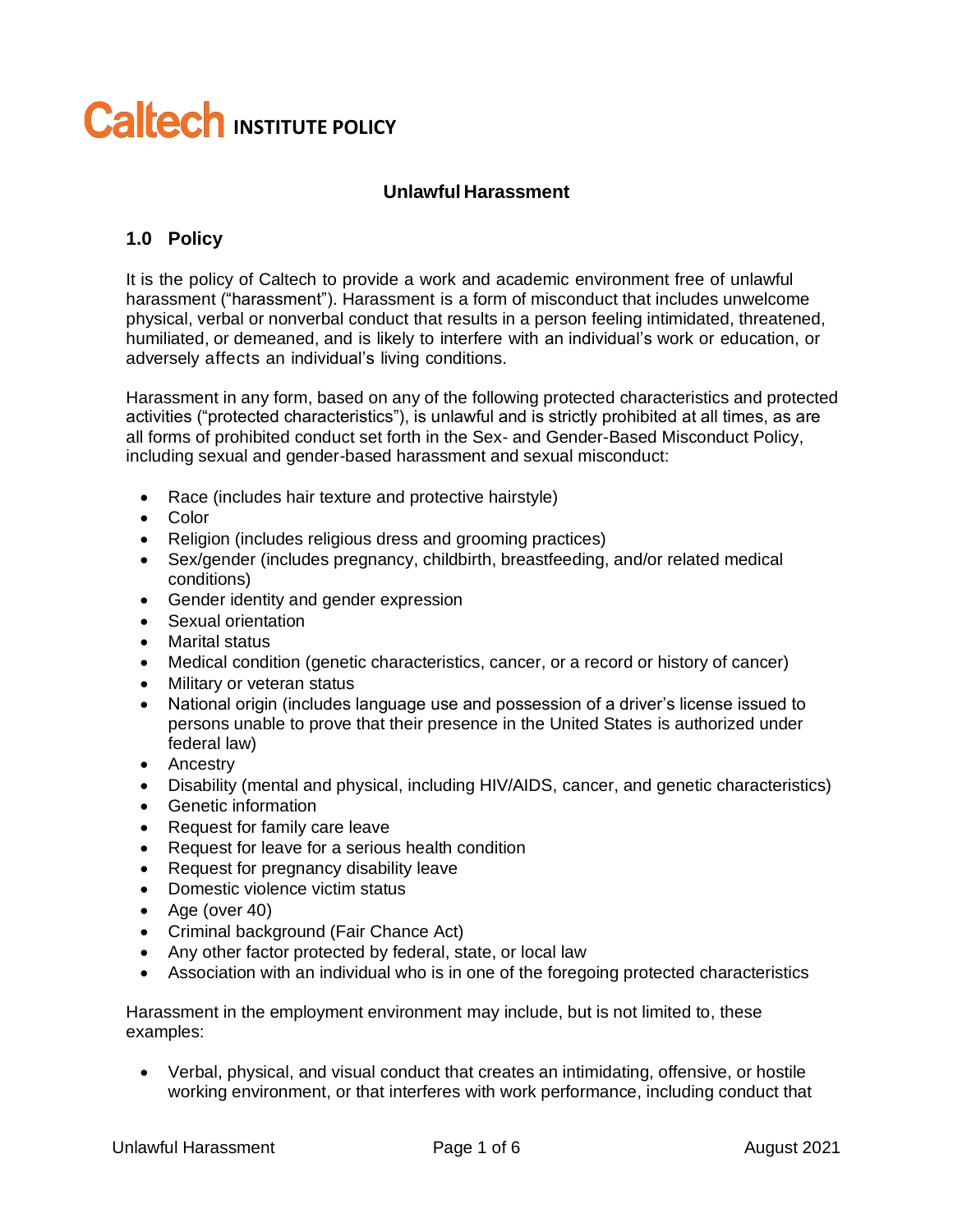# **Caltech INSTITUTE POLICY**

#### **Unlawful Harassment**

# **1.0 Policy**

It is the policy of Caltech to provide a work and academic environment free of unlawful harassment ("harassment"). Harassment is a form of misconduct that includes unwelcome physical, verbal or nonverbal conduct that results in a person feeling intimidated, threatened, humiliated, or demeaned, and is likely to interfere with an individual's work or education, or adversely affects an individual's living conditions.

Harassment in any form, based on any of the following protected characteristics and protected activities ("protected characteristics"), is unlawful and is strictly prohibited at all times, as are all forms of prohibited conduct set forth in the Sex- and Gender-Based Misconduct Policy, including sexual and gender-based harassment and sexual misconduct:

- Race (includes hair texture and protective hairstyle)
- Color
- Religion (includes religious dress and grooming practices)
- Sex/gender (includes pregnancy, childbirth, breastfeeding, and/or related medical conditions)
- Gender identity and gender expression
- Sexual orientation
- Marital status
- Medical condition (genetic characteristics, cancer, or a record or history of cancer)
- Military or veteran status
- National origin (includes language use and possession of a driver's license issued to persons unable to prove that their presence in the United States is authorized under federal law)
- Ancestry
- Disability (mental and physical, including HIV/AIDS, cancer, and genetic characteristics)
- Genetic information
- Request for family care leave
- Request for leave for a serious health condition
- Request for pregnancy disability leave
- Domestic violence victim status
- Age (over 40)
- Criminal background (Fair Chance Act)
- Any other factor protected by federal, state, or local law
- Association with an individual who is in one of the foregoing protected characteristics

Harassment in the employment environment may include, but is not limited to, these examples:

• Verbal, physical, and visual conduct that creates an intimidating, offensive, or hostile working environment, or that interferes with work performance, including conduct that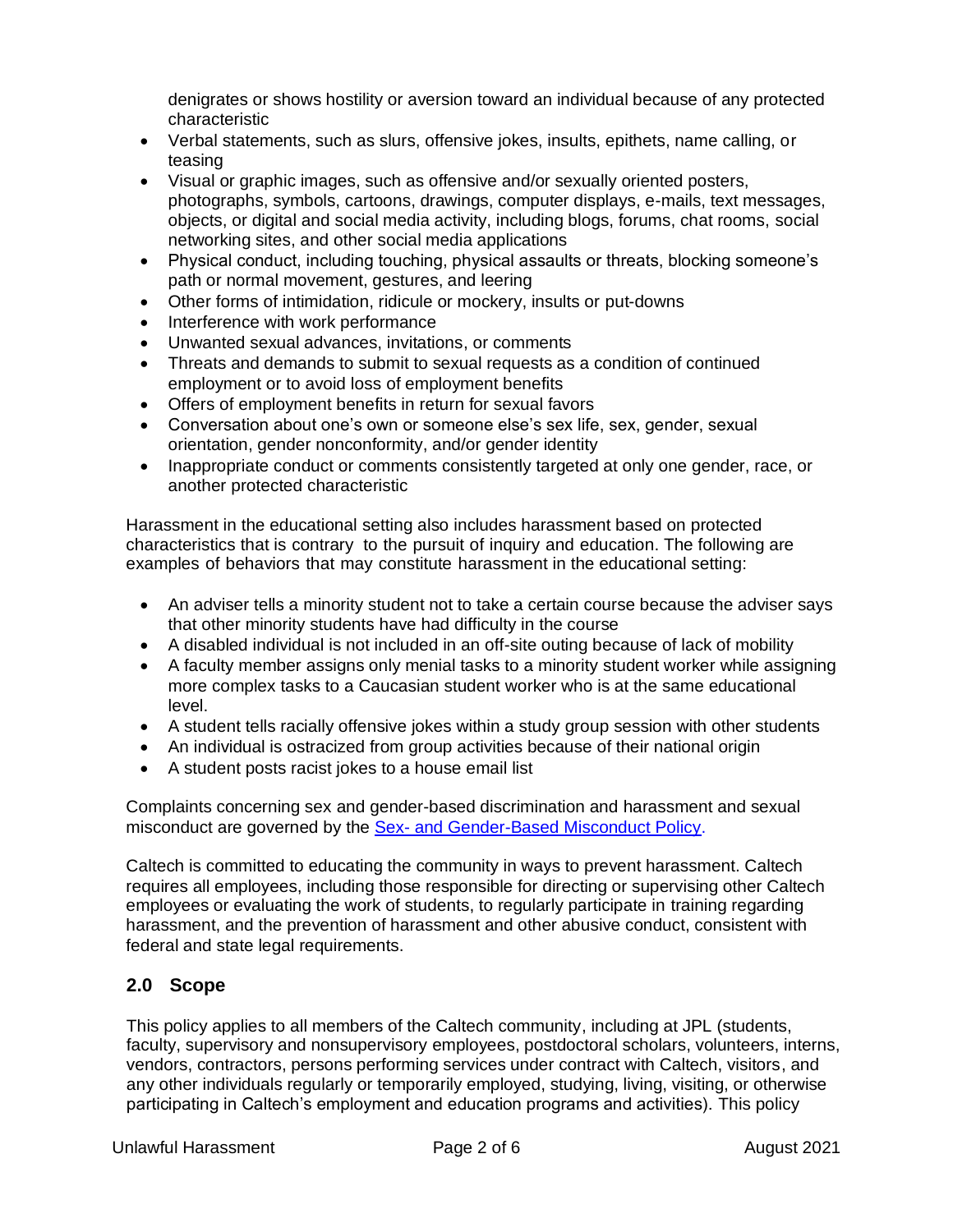denigrates or shows hostility or aversion toward an individual because of any protected characteristic

- Verbal statements, such as slurs, offensive jokes, insults, epithets, name calling, or teasing
- Visual or graphic images, such as offensive and/or sexually oriented posters, photographs, symbols, cartoons, drawings, computer displays, e-mails, text messages, objects, or digital and social media activity, including blogs, forums, chat rooms, social networking sites, and other social media applications
- Physical conduct, including touching, physical assaults or threats, blocking someone's path or normal movement, gestures, and leering
- Other forms of intimidation, ridicule or mockery, insults or put-downs
- Interference with work performance
- Unwanted sexual advances, invitations, or comments
- Threats and demands to submit to sexual requests as a condition of continued employment or to avoid loss of employment benefits
- Offers of employment benefits in return for sexual favors
- Conversation about one's own or someone else's sex life, sex, gender, sexual orientation, gender nonconformity, and/or gender identity
- Inappropriate conduct or comments consistently targeted at only one gender, race, or another protected characteristic

Harassment in the educational setting also includes harassment based on protected characteristics that is contrary to the pursuit of inquiry and education. The following are examples of behaviors that may constitute harassment in the educational setting:

- An adviser tells a minority student not to take a certain course because the adviser says that other minority students have had difficulty in the course
- A disabled individual is not included in an off-site outing because of lack of mobility
- A faculty member assigns only menial tasks to a minority student worker while assigning more complex tasks to a Caucasian student worker who is at the same educational level.
- A student tells racially offensive jokes within a study group session with other students
- An individual is ostracized from group activities because of their national origin
- A student posts racist jokes to a house email list

Complaints concerning sex and gender-based discrimination and harassment and sexual misconduct are governed by the Sex- [and Gender-Based](https://hr.caltech.edu/documents/2925/caltech_institute_policy-sex_and_gender_based_misconduct.pdf) Misconduct Policy.

Caltech is committed to educating the community in ways to prevent harassment. Caltech requires all employees, including those responsible for directing or supervising other Caltech employees or evaluating the work of students, to regularly participate in training regarding harassment, and the prevention of harassment and other abusive conduct, consistent with federal and state legal requirements.

## **2.0 Scope**

This policy applies to all members of the Caltech community, including at JPL (students, faculty, supervisory and nonsupervisory employees, postdoctoral scholars, volunteers, interns, vendors, contractors, persons performing services under contract with Caltech, visitors, and any other individuals regularly or temporarily employed, studying, living, visiting, or otherwise participating in Caltech's employment and education programs and activities). This policy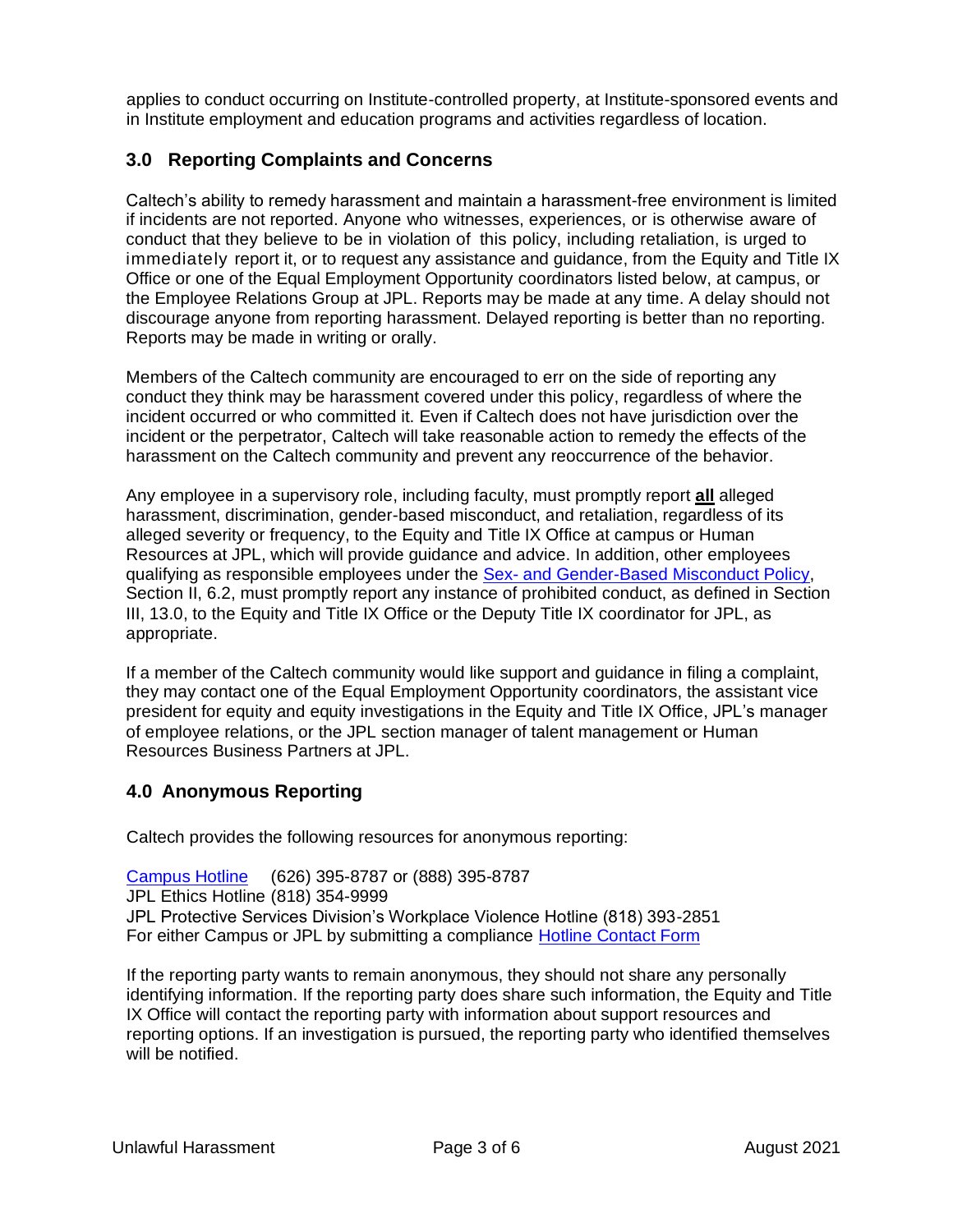applies to conduct occurring on Institute-controlled property, at Institute-sponsored events and in Institute employment and education programs and activities regardless of location.

# **3.0 Reporting Complaints and Concerns**

Caltech's ability to remedy harassment and maintain a harassment-free environment is limited if incidents are not reported. Anyone who witnesses, experiences, or is otherwise aware of conduct that they believe to be in violation of this policy, including retaliation, is urged to immediately report it, or to request any assistance and guidance, from the Equity and Title IX Office or one of the Equal Employment Opportunity coordinators listed below, at campus, or the Employee Relations Group at JPL. Reports may be made at any time. A delay should not discourage anyone from reporting harassment. Delayed reporting is better than no reporting. Reports may be made in writing or orally.

Members of the Caltech community are encouraged to err on the side of reporting any conduct they think may be harassment covered under this policy, regardless of where the incident occurred or who committed it. Even if Caltech does not have jurisdiction over the incident or the perpetrator, Caltech will take reasonable action to remedy the effects of the harassment on the Caltech community and prevent any reoccurrence of the behavior.

Any employee in a supervisory role, including faculty, must promptly report **all** alleged harassment, discrimination, gender-based misconduct, and retaliation, regardless of its alleged severity or frequency, to the Equity and Title IX Office at campus or Human Resources at JPL, which will provide guidance and advice. In addition, other employees qualifying as responsible employees under the Sex- [and Gender-Based](https://hr.caltech.edu/documents/2925/caltech_institute_policy-sex_and_gender_based_misconduct.pdf) Misconduct Policy, Section II, 6.2, must promptly report any instance of prohibited conduct, as defined in Section III, 13.0, to the Equity and Title IX Office or the Deputy Title IX coordinator for JPL, as appropriate.

If a member of the Caltech community would like support and guidance in filing a complaint, they may contact one of the Equal Employment Opportunity coordinators, the assistant vice president for equity and equity investigations in the Equity and Title IX Office, JPL's manager of employee relations, or the JPL section manager of talent management or Human Resources Business Partners at JPL.

## **4.0 Anonymous Reporting**

Caltech provides the following resources for anonymous reporting:

[Campus Hotline](https://hotline.caltech.edu/) (626) 395-8787 or (888) 395-8787 JPL Ethics Hotline (818) 354-9999 JPL Protective Services Division's Workplace Violence Hotline (818) 393-2851 For either Campus or JPL by submitting a compliance [Hotline Contact Form](https://asic.caltech.edu/caltech-hotline/contact)

If the reporting party wants to remain anonymous, they should not share any personally identifying information. If the reporting party does share such information, the Equity and Title IX Office will contact the reporting party with information about support resources and reporting options. If an investigation is pursued, the reporting party who identified themselves will be notified.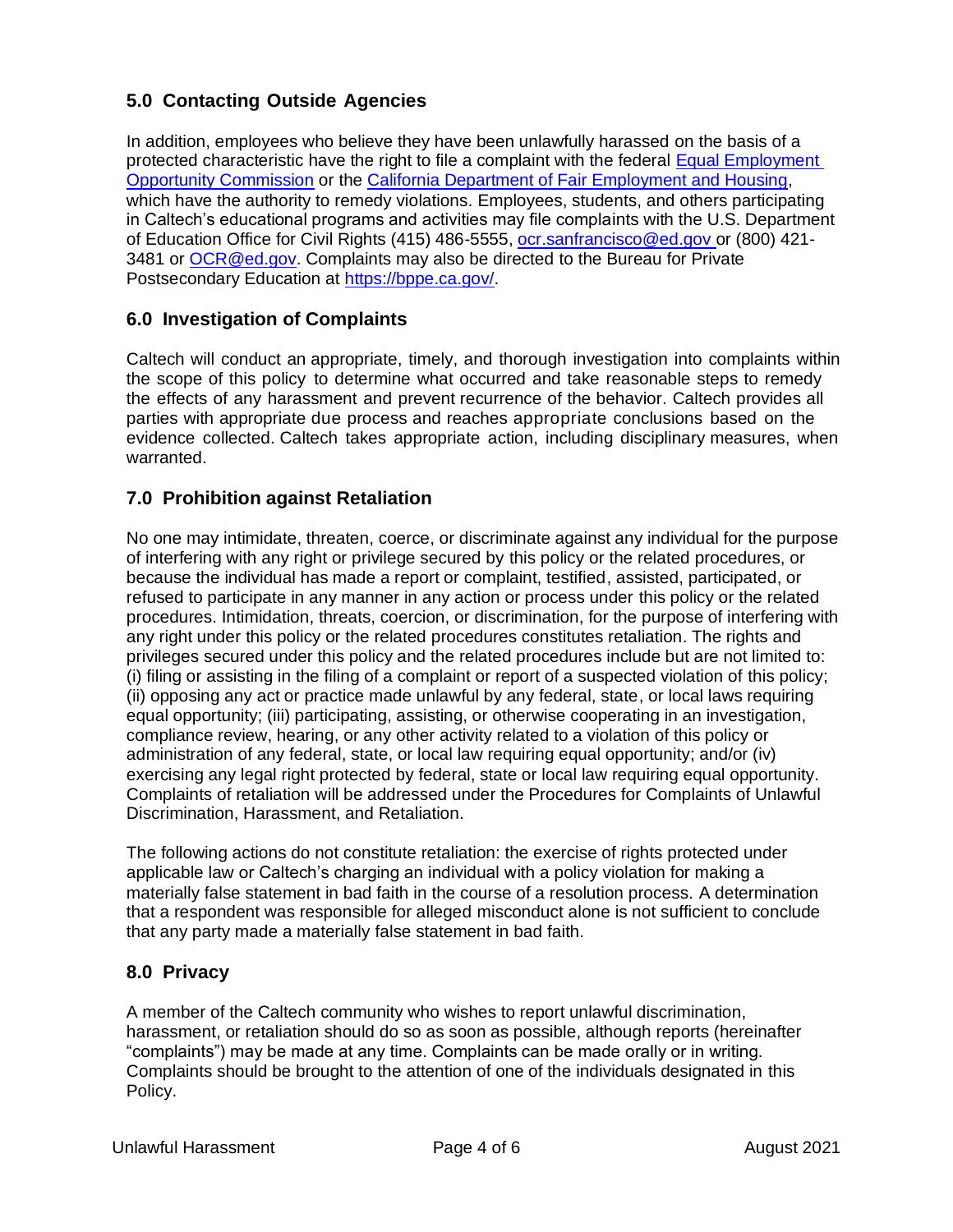# **5.0 Contacting Outside Agencies**

In addition, employees who believe they have been unlawfully harassed on the basis of a protected characteristic have the right to file a complaint with the federal [Equal Employment](https://www.eeoc.gov/)  [Opportunity Commission](https://www.eeoc.gov/) or the [California Department of Fair Employment and Housing,](https://www.dfeh.ca.gov/) which have the authority to remedy violations. Employees, students, and others participating in Caltech's educational programs and activities may file complaints with the U.S. Department of Education Office for Civil Rights (415) 486-5555, [ocr.sanfrancisco@ed.gov o](mailto:ocr.sanfrancisco@ed.gov)r (800) 421- 3481 or [OCR@ed.gov.](mailto:OCR@ed.gov) Complaints may also be directed to the Bureau for Private Postsecondary Education at [https://bppe.ca.gov/.](https://bppe.ca.gov/)

# **6.0 Investigation of Complaints**

Caltech will conduct an appropriate, timely, and thorough investigation into complaints within the scope of this policy to determine what occurred and take reasonable steps to remedy the effects of any harassment and prevent recurrence of the behavior. Caltech provides all parties with appropriate due process and reaches appropriate conclusions based on the evidence collected. Caltech takes appropriate action, including disciplinary measures, when warranted.

## **7.0 Prohibition against Retaliation**

No one may intimidate, threaten, coerce, or discriminate against any individual for the purpose of interfering with any right or privilege secured by this policy or the related procedures, or because the individual has made a report or complaint, testified, assisted, participated, or refused to participate in any manner in any action or process under this policy or the related procedures. Intimidation, threats, coercion, or discrimination, for the purpose of interfering with any right under this policy or the related procedures constitutes retaliation. The rights and privileges secured under this policy and the related procedures include but are not limited to: (i) filing or assisting in the filing of a complaint or report of a suspected violation of this policy; (ii) opposing any act or practice made unlawful by any federal, state, or local laws requiring equal opportunity; (iii) participating, assisting, or otherwise cooperating in an investigation, compliance review, hearing, or any other activity related to a violation of this policy or administration of any federal, state, or local law requiring equal opportunity; and/or (iv) exercising any legal right protected by federal, state or local law requiring equal opportunity. Complaints of retaliation will be addressed under the Procedures for Complaints of Unlawful Discrimination, Harassment, and Retaliation.

The following actions do not constitute retaliation: the exercise of rights protected under applicable law or Caltech's charging an individual with a policy violation for making a materially false statement in bad faith in the course of a resolution process. A determination that a respondent was responsible for alleged misconduct alone is not sufficient to conclude that any party made a materially false statement in bad faith.

## **8.0 Privacy**

A member of the Caltech community who wishes to report unlawful discrimination, harassment, or retaliation should do so as soon as possible, although reports (hereinafter "complaints") may be made at any time. Complaints can be made orally or in writing. Complaints should be brought to the attention of one of the individuals designated in this Policy.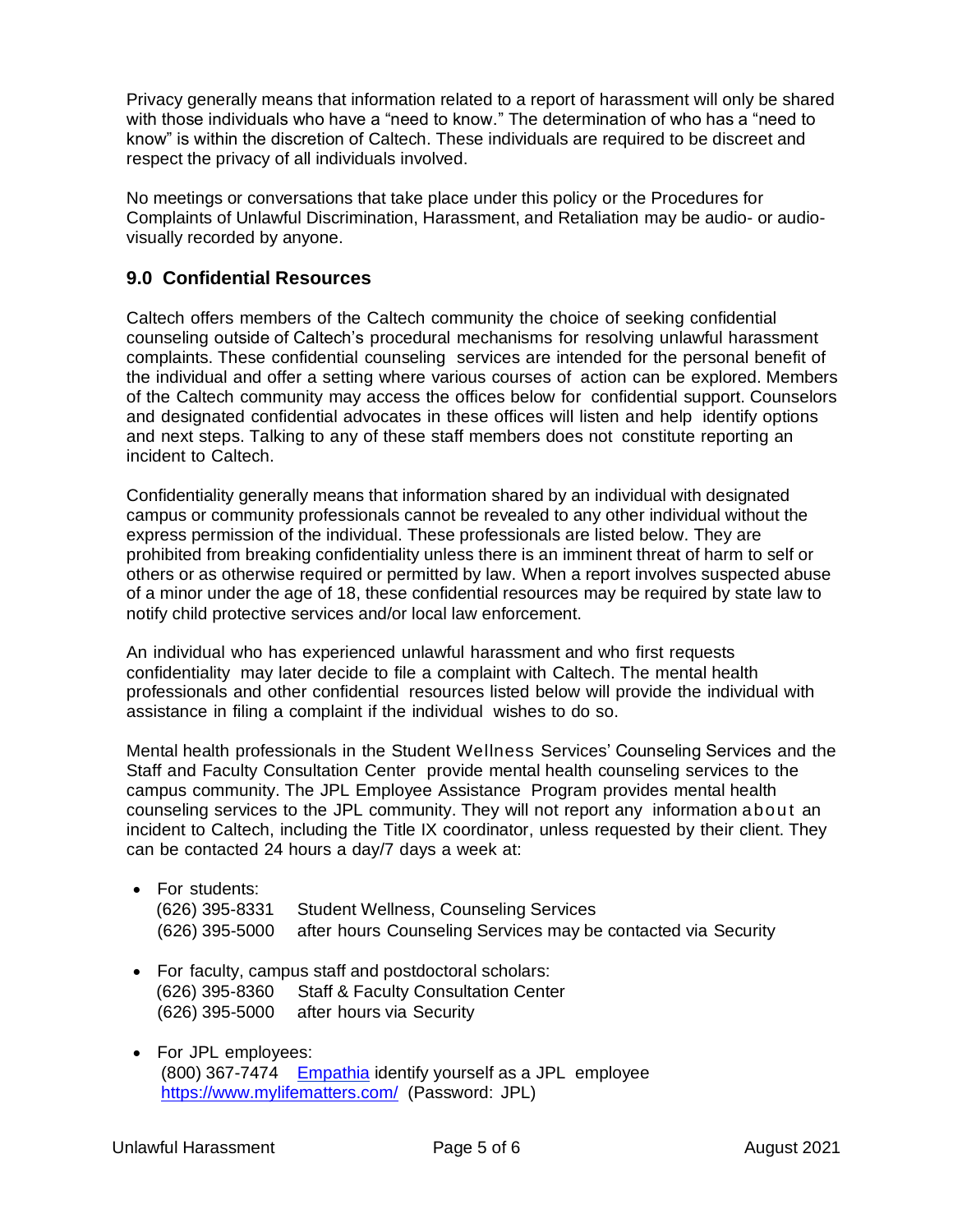Privacy generally means that information related to a report of harassment will only be shared with those individuals who have a "need to know." The determination of who has a "need to know" is within the discretion of Caltech. These individuals are required to be discreet and respect the privacy of all individuals involved.

No meetings or conversations that take place under this policy or the Procedures for Complaints of Unlawful Discrimination, Harassment, and Retaliation may be audio- or audiovisually recorded by anyone.

# **9.0 Confidential Resources**

Caltech offers members of the Caltech community the choice of seeking confidential counseling outside of Caltech's procedural mechanisms for resolving unlawful harassment complaints. These confidential counseling services are intended for the personal benefit of the individual and offer a setting where various courses of action can be explored. Members of the Caltech community may access the offices below for confidential support. Counselors and designated confidential advocates in these offices will listen and help identify options and next steps. Talking to any of these staff members does not constitute reporting an incident to Caltech.

Confidentiality generally means that information shared by an individual with designated campus or community professionals cannot be revealed to any other individual without the express permission of the individual. These professionals are listed below. They are prohibited from breaking confidentiality unless there is an imminent threat of harm to self or others or as otherwise required or permitted by law. When a report involves suspected abuse of a minor under the age of 18, these confidential resources may be required by state law to notify child protective services and/or local law enforcement.

An individual who has experienced unlawful harassment and who first requests confidentiality may later decide to file a complaint with Caltech. The mental health professionals and other confidential resources listed below will provide the individual with assistance in filing a complaint if the individual wishes to do so.

Mental health professionals in the Student Wellness Services' Counseling Services and the Staff and Faculty Consultation Center provide mental health counseling services to the campus community. The JPL Employee Assistance Program provides mental health counseling services to the JPL community. They will not report any information abou t an incident to Caltech, including the Title IX coordinator, unless requested by their client. They can be contacted 24 hours a day/7 days a week at:

| $\bullet$ For students: |                                                                              |
|-------------------------|------------------------------------------------------------------------------|
|                         | (626) 395-8331 Student Wellness, Counseling Services                         |
|                         | (626) 395-5000 after hours Counseling Services may be contacted via Security |

- For faculty, campus staff and postdoctoral scholars: (626) 395-8360 Staff & Faculty Consultation Center (626) 395-5000 after hours via Security
- For JPL employees: (800) 367-7474 [Empathia](https://www.mylifematters.com/) identify yourself as a JPL employee <https://www.mylifematters.com/> (Password: JPL)